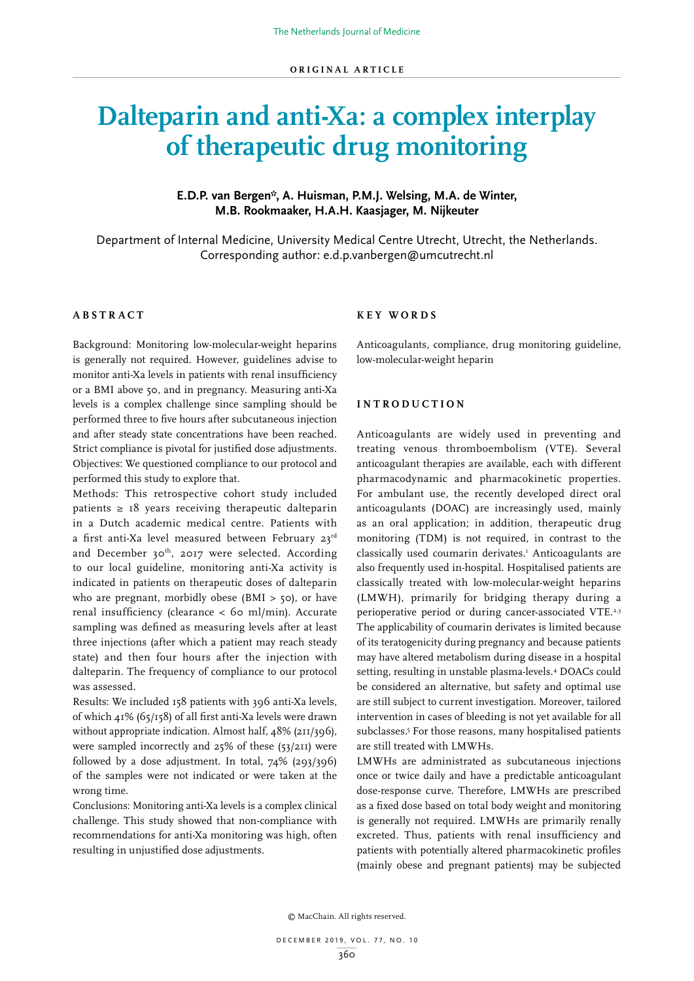# **Dalteparin and anti-Xa: a complex interplay of therapeutic drug monitoring**

# **E.D.P. van Bergen\*, A. Huisman, P.M.J. Welsing, M.A. de Winter, M.B. Rookmaaker, H.A.H. Kaasjager, M. Nijkeuter**

Department of Internal Medicine, University Medical Centre Utrecht, Utrecht, the Netherlands. Corresponding author: e.d.p.vanbergen@umcutrecht.nl

## **ABSTRACT**

Background: Monitoring low-molecular-weight heparins is generally not required. However, guidelines advise to monitor anti-Xa levels in patients with renal insufficiency or a BMI above 50, and in pregnancy. Measuring anti-Xa levels is a complex challenge since sampling should be performed three to five hours after subcutaneous injection and after steady state concentrations have been reached. Strict compliance is pivotal for justified dose adjustments. Objectives: We questioned compliance to our protocol and performed this study to explore that.

Methods: This retrospective cohort study included patients  $\geq 18$  years receiving therapeutic dalteparin in a Dutch academic medical centre. Patients with a first anti-Xa level measured between February 23rd and December 30<sup>th</sup>, 2017 were selected. According to our local guideline, monitoring anti-Xa activity is indicated in patients on therapeutic doses of dalteparin who are pregnant, morbidly obese (BMI  $>$  50), or have renal insufficiency (clearance < 60 ml/min). Accurate sampling was defined as measuring levels after at least three injections (after which a patient may reach steady state) and then four hours after the injection with dalteparin. The frequency of compliance to our protocol was assessed.

Results: We included 158 patients with 396 anti-Xa levels, of which 41% (65/158) of all first anti-Xa levels were drawn without appropriate indication. Almost half,  $48\%$  (211/396), were sampled incorrectly and 25% of these (53/211) were followed by a dose adjustment. In total, 74% (293/396) of the samples were not indicated or were taken at the wrong time.

Conclusions: Monitoring anti-Xa levels is a complex clinical challenge. This study showed that non-compliance with recommendations for anti-Xa monitoring was high, often resulting in unjustified dose adjustments.

## **K E Y W O R D S**

Anticoagulants, compliance, drug monitoring guideline, low-molecular-weight heparin

#### **I N T R O D U C T I O N**

Anticoagulants are widely used in preventing and treating venous thromboembolism (VTE). Several anticoagulant therapies are available, each with different pharmacodynamic and pharmacokinetic properties. For ambulant use, the recently developed direct oral anticoagulants (DOAC) are increasingly used, mainly as an oral application; in addition, therapeutic drug monitoring (TDM) is not required, in contrast to the classically used coumarin derivates.1 Anticoagulants are also frequently used in-hospital. Hospitalised patients are classically treated with low-molecular-weight heparins (LMWH), primarily for bridging therapy during a perioperative period or during cancer-associated VTE.<sup>2,3</sup> The applicability of coumarin derivates is limited because of its teratogenicity during pregnancy and because patients may have altered metabolism during disease in a hospital setting, resulting in unstable plasma-levels.4 DOACs could be considered an alternative, but safety and optimal use are still subject to current investigation. Moreover, tailored intervention in cases of bleeding is not yet available for all subclasses.<sup>5</sup> For those reasons, many hospitalised patients are still treated with LMWHs.

LMWHs are administrated as subcutaneous injections once or twice daily and have a predictable anticoagulant dose-response curve. Therefore, LMWHs are prescribed as a fixed dose based on total body weight and monitoring is generally not required. LMWHs are primarily renally excreted. Thus, patients with renal insufficiency and patients with potentially altered pharmacokinetic profiles (mainly obese and pregnant patients) may be subjected

© MacChain. All rights reserved.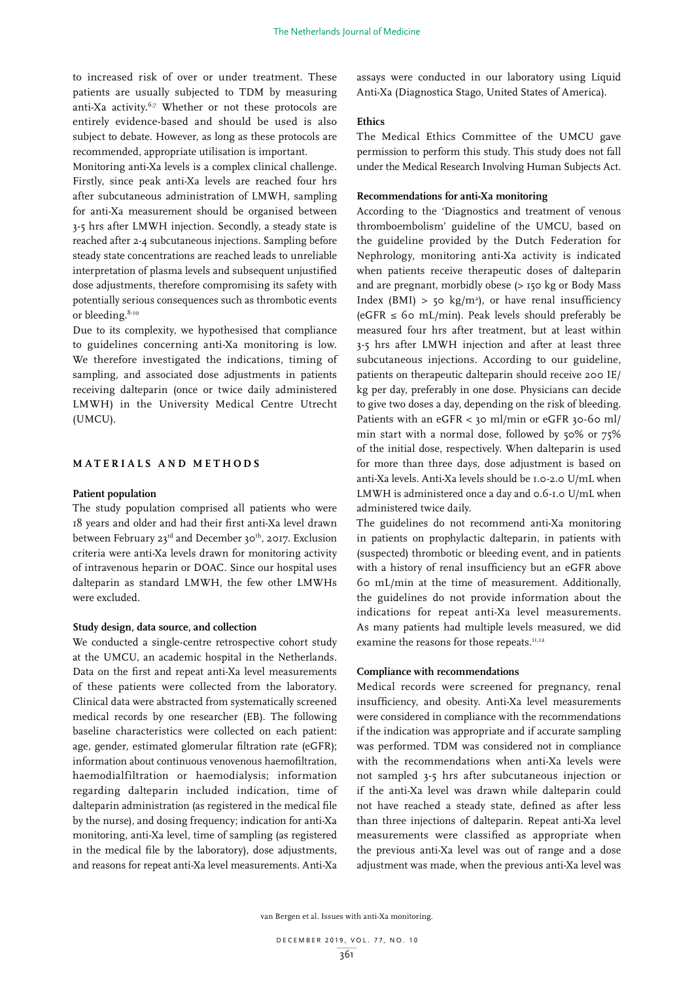to increased risk of over or under treatment. These patients are usually subjected to TDM by measuring anti-Xa activity.<sup>6,7</sup> Whether or not these protocols are entirely evidence-based and should be used is also subject to debate. However, as long as these protocols are recommended, appropriate utilisation is important.

Monitoring anti-Xa levels is a complex clinical challenge. Firstly, since peak anti-Xa levels are reached four hrs after subcutaneous administration of LMWH, sampling for anti-Xa measurement should be organised between 3-5 hrs after LMWH injection. Secondly, a steady state is reached after 2-4 subcutaneous injections. Sampling before steady state concentrations are reached leads to unreliable interpretation of plasma levels and subsequent unjustified dose adjustments, therefore compromising its safety with potentially serious consequences such as thrombotic events or bleeding.<sup>8-10</sup>

Due to its complexity, we hypothesised that compliance to guidelines concerning anti-Xa monitoring is low. We therefore investigated the indications, timing of sampling, and associated dose adjustments in patients receiving dalteparin (once or twice daily administered LMWH) in the University Medical Centre Utrecht (UMCU).

## **MATERIALS AND METHODS**

#### **Patient population**

The study population comprised all patients who were 18 years and older and had their first anti-Xa level drawn between February 23<sup>rd</sup> and December 30<sup>th</sup>, 2017. Exclusion criteria were anti-Xa levels drawn for monitoring activity of intravenous heparin or DOAC. Since our hospital uses dalteparin as standard LMWH, the few other LMWHs were excluded.

#### **Study design, data source, and collection**

We conducted a single-centre retrospective cohort study at the UMCU, an academic hospital in the Netherlands. Data on the first and repeat anti-Xa level measurements of these patients were collected from the laboratory. Clinical data were abstracted from systematically screened medical records by one researcher (EB). The following baseline characteristics were collected on each patient: age, gender, estimated glomerular filtration rate (eGFR); information about continuous venovenous haemofiltration, haemodialfiltration or haemodialysis; information regarding dalteparin included indication, time of dalteparin administration (as registered in the medical file by the nurse), and dosing frequency; indication for anti-Xa monitoring, anti-Xa level, time of sampling (as registered in the medical file by the laboratory), dose adjustments, and reasons for repeat anti-Xa level measurements. Anti-Xa assays were conducted in our laboratory using Liquid Anti-Xa (Diagnostica Stago, United States of America).

#### **Ethics**

The Medical Ethics Committee of the UMCU gave permission to perform this study. This study does not fall under the Medical Research Involving Human Subjects Act.

## **Recommendations for anti-Xa monitoring**

According to the 'Diagnostics and treatment of venous thromboembolism' guideline of the UMCU, based on the guideline provided by the Dutch Federation for Nephrology, monitoring anti-Xa activity is indicated when patients receive therapeutic doses of dalteparin and are pregnant, morbidly obese (> 150 kg or Body Mass Index (BMI)  $>$  50 kg/m<sup>2</sup>), or have renal insufficiency (eGFR  $\leq$  60 mL/min). Peak levels should preferably be measured four hrs after treatment, but at least within 3-5 hrs after LMWH injection and after at least three subcutaneous injections. According to our guideline, patients on therapeutic dalteparin should receive 200 IE/ kg per day, preferably in one dose. Physicians can decide to give two doses a day, depending on the risk of bleeding. Patients with an eGFR < 30 ml/min or eGFR 30-60 ml/ min start with a normal dose, followed by 50% or 75% of the initial dose, respectively. When dalteparin is used for more than three days, dose adjustment is based on anti-Xa levels. Anti-Xa levels should be 1.0-2.0 U/mL when LMWH is administered once a day and 0.6-1.0 U/mL when administered twice daily.

The guidelines do not recommend anti-Xa monitoring in patients on prophylactic dalteparin, in patients with (suspected) thrombotic or bleeding event, and in patients with a history of renal insufficiency but an eGFR above 60 mL/min at the time of measurement. Additionally, the guidelines do not provide information about the indications for repeat anti-Xa level measurements. As many patients had multiple levels measured, we did examine the reasons for those repeats.<sup>11,12</sup>

#### **Compliance with recommendations**

Medical records were screened for pregnancy, renal insufficiency, and obesity. Anti-Xa level measurements were considered in compliance with the recommendations if the indication was appropriate and if accurate sampling was performed. TDM was considered not in compliance with the recommendations when anti-Xa levels were not sampled 3-5 hrs after subcutaneous injection or if the anti-Xa level was drawn while dalteparin could not have reached a steady state, defined as after less than three injections of dalteparin. Repeat anti-Xa level measurements were classified as appropriate when the previous anti-Xa level was out of range and a dose adjustment was made, when the previous anti-Xa level was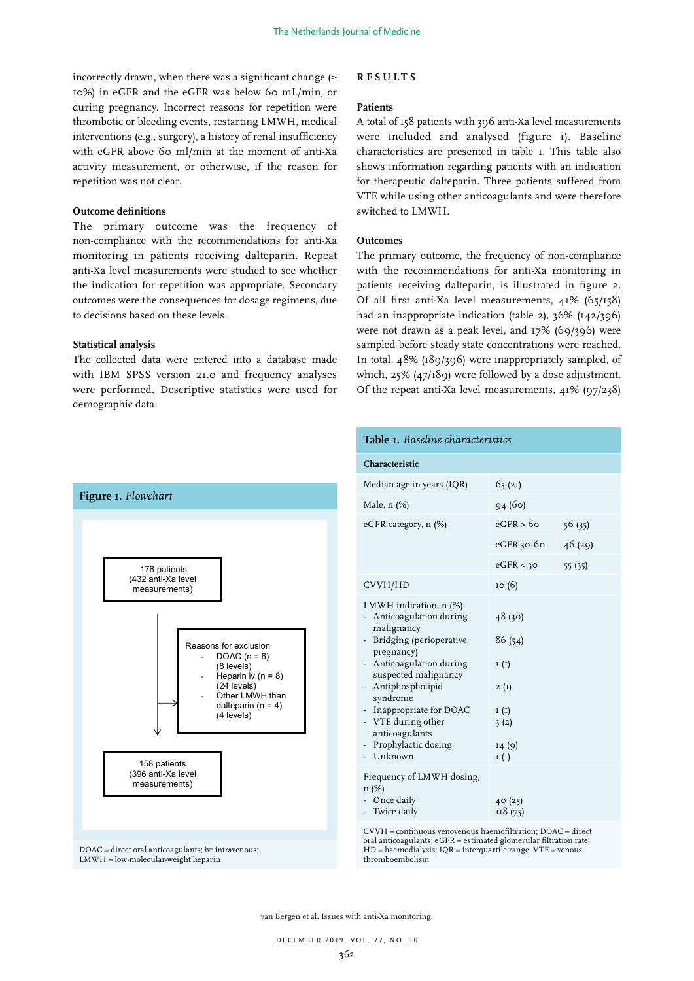incorrectly drawn, when there was a significant change  $(\geq$ 10%) in eGFR and the eGFR was below 60 mL/min, or during pregnancy. Incorrect reasons for repetition were thrombotic or bleeding events, restarting LMWH, medical interventions (e.g., surgery), a history of renal insufficiency with eGFR above 60 ml/min at the moment of anti-Xa activity measurement, or otherwise, if the reason for repetition was not clear.

#### **Outcome definitions**

The primary outcome was the frequency of non-compliance with the recommendations for anti-Xa monitoring in patients receiving dalteparin. Repeat anti-Xa level measurements were studied to see whether the indication for repetition was appropriate. Secondary outcomes were the consequences for dosage regimens, due to decisions based on these levels.

## **Statistical analysis**

The collected data were entered into a database made with IBM SPSS version 21.0 and frequency analyses were performed. Descriptive statistics were used for demographic data.

#### **RESULTS**

#### **Patients**

A total of 158 patients with 396 anti-Xa level measurements were included and analysed (figure 1). Baseline characteristics are presented in table 1. This table also shows information regarding patients with an indication for therapeutic dalteparin. Three patients suffered from VTE while using other anticoagulants and were therefore switched to LMWH.

#### **Outcomes**

The primary outcome, the frequency of non-compliance with the recommendations for anti-Xa monitoring in patients receiving dalteparin, is illustrated in figure 2. Of all first anti-Xa level measurements, 41% (65/158) had an inappropriate indication (table 2), 36% (142/396) were not drawn as a peak level, and 17% (69/396) were sampled before steady state concentrations were reached. In total, 48% (189/396) were inappropriately sampled, of which, 25% (47/189) were followed by a dose adjustment. Of the repeat anti-Xa level measurements, 41% (97/238)



LMWH = low-molecular-weight heparin

|                                                                                                                                                                                                                                                                       | Table <i>I.</i> Baseline characteristics<br>Characteristic                                                                                                                                                                                                                                                     |                                                                                        |         |
|-----------------------------------------------------------------------------------------------------------------------------------------------------------------------------------------------------------------------------------------------------------------------|----------------------------------------------------------------------------------------------------------------------------------------------------------------------------------------------------------------------------------------------------------------------------------------------------------------|----------------------------------------------------------------------------------------|---------|
|                                                                                                                                                                                                                                                                       |                                                                                                                                                                                                                                                                                                                |                                                                                        |         |
|                                                                                                                                                                                                                                                                       | Median age in years (IQR)                                                                                                                                                                                                                                                                                      | 65(21)                                                                                 |         |
| r <b>e 1.</b> Flowchart                                                                                                                                                                                                                                               | Male, $n$ (%)                                                                                                                                                                                                                                                                                                  | 94(60)                                                                                 |         |
|                                                                                                                                                                                                                                                                       | eGFR category, n (%)                                                                                                                                                                                                                                                                                           | eGFR > 60                                                                              | 56 (35) |
| 176 patients<br>(432 anti-Xa level<br>measurements)<br>Reasons for exclusion<br>DOAC $(n = 6)$<br>(8 levels)<br>Heparin iv $(n = 8)$<br>(24 levels)<br>Other LMWH than<br>dalteparin ( $n = 4$ )<br>(4 levels)<br>158 patients<br>(396 anti-Xa level<br>measurements) |                                                                                                                                                                                                                                                                                                                | eGFR 30-60                                                                             | 46(29)  |
|                                                                                                                                                                                                                                                                       |                                                                                                                                                                                                                                                                                                                | eGFR < 30                                                                              | 55(35)  |
|                                                                                                                                                                                                                                                                       | CVVH/HD                                                                                                                                                                                                                                                                                                        | 10(6)                                                                                  |         |
|                                                                                                                                                                                                                                                                       | LMWH indication, $n$ (%)<br>- Anticoagulation during<br>malignancy<br>- Bridging (perioperative,<br>pregnancy)<br>- Anticoagulation during<br>suspected malignancy<br>- Antiphospholipid<br>syndrome<br>- Inappropriate for DOAC<br>- VTE during other<br>anticoagulants<br>- Prophylactic dosing<br>- Unknown | 48(30)<br>86(54)<br>I(I)<br>2(I)<br>I(I)<br>3(2)<br>14(9)<br>I(I)<br>40(25)<br>118(75) |         |
|                                                                                                                                                                                                                                                                       | Frequency of LMWH dosing,<br>$n (\%)$<br>- Once daily<br>- Twice daily                                                                                                                                                                                                                                         |                                                                                        |         |

CVVH = continuous venovenous haemofiltration; DOAC = direct  $HD = haemodialysis$ ;  $IQR = interquartile range$ ;  $VTE = venous$ thromboembolism

van Bergen et al. Issues with anti-Xa monitoring.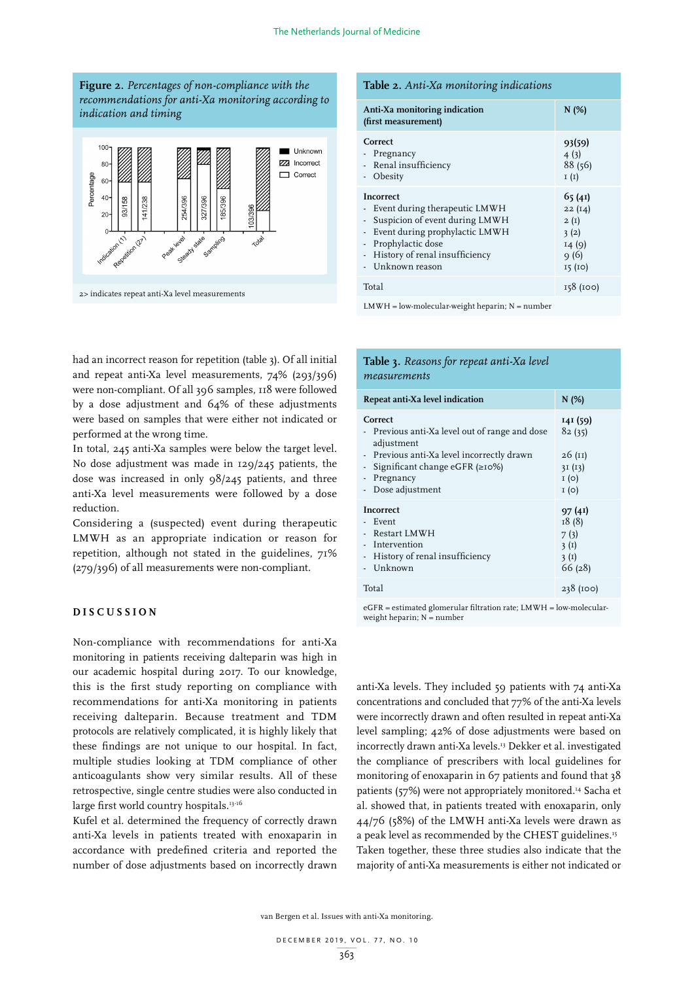



2> indicates repeat anti-Xa level measurements

had an incorrect reason for repetition (table 3). Of all initial and repeat anti-Xa level measurements, 74% (293/396) were non-compliant. Of all 396 samples, 118 were followed **Table 2.** *Anti-Xa monitoring indications* by a dose adjustment and 64% of these adjustments were based on samples that were either not indicated or performed at the wrong time. *(first measurement)*

In total, 245 anti-Xa samples were below the target level. No dose adjustment was made in 129/245 patients, the dose was increased in only 98/245 patients, and three anti-Xa level measurements were followed by a dose reduction. was increased  $V_{111}$ 

Considering a (suspected) event during therapeutic LMWH as an appropriate indication or reason for repetition, although not stated in the guidelines, 71% (279/396) of all measurements were non-compliant.

## **DISCUSSION**

Non-compliance with recommendations for anti-Xa monitoring in patients receiving dalteparin was high in our academic hospital during 2017. To our knowledge, this is the first study reporting on compliance with recommendations for anti-Xa monitoring in patients receiving dalteparin. Because treatment and TDM protocols are relatively complicated, it is highly likely that these findings are not unique to our hospital. In fact, multiple studies looking at TDM compliance of other anticoagulants show very similar results. All of these retrospective, single centre studies were also conducted in large first world country hospitals.<sup>13-16</sup>

Kufel et al. determined the frequency of correctly drawn anti-Xa levels in patients treated with enoxaparin in accordance with predefined criteria and reported the number of dose adjustments based on incorrectly drawn

#### **Table 2.** *Anti-Xa monitoring indications*

| Anti-Xa monitoring indication<br>(first measurement)                                                                                                                                                     | N(%)                                                        |
|----------------------------------------------------------------------------------------------------------------------------------------------------------------------------------------------------------|-------------------------------------------------------------|
| Correct<br>Pregnancy<br>- Renal insufficiency<br>- Obesity                                                                                                                                               | 93(59)<br>4(3)<br>88(56)<br>I(I)                            |
| <b>Incorrect</b><br>- Event during therapeutic LMWH<br>- Suspicion of event during LMWH<br>- Event during prophylactic LMWH<br>- Prophylactic dose<br>History of renal insufficiency<br>- Unknown reason | 65(41)<br>22(14)<br>2(I)<br>3(2)<br>14(9)<br>9(6)<br>15(10) |
| Total                                                                                                                                                                                                    | 158 (100)                                                   |

 $LMWH = low-molecular-weight heparin; N = number$ 

## **Table 3.** *Reasons for repeat anti-Xa level measurements*

| Repeat anti-Xa level indication                                                                                                                                                                | N(%)                                                   |
|------------------------------------------------------------------------------------------------------------------------------------------------------------------------------------------------|--------------------------------------------------------|
| Correct<br>- Previous anti-Xa level out of range and dose<br>adjustment<br>- Previous anti-Xa level incorrectly drawn<br>Significant change eGFR $(\geq 10\%)$<br>Pregnancy<br>Dose adjustment | 141 (59)<br>82(35)<br>26(11)<br>3I(13)<br>I(0)<br>I(0) |
| <b>Incorrect</b><br>Event<br>Restart LMWH<br>Intervention<br>History of renal insufficiency<br>Unknown                                                                                         | 97(41)<br>18(8)<br>7(3)<br>3(I)<br>3(I)<br>66(28)      |
| Total                                                                                                                                                                                          | 238 (100)                                              |

eGFR = estimated glomerular filtration rate; LMWH = low-molecularweight heparin;  $N =$  number

anti-Xa levels. They included 59 patients with 74 anti-Xa concentrations and concluded that 77% of the anti-Xa levels were incorrectly drawn and often resulted in repeat anti-Xa level sampling; 42% of dose adjustments were based on incorrectly drawn anti-Xa levels.13 Dekker et al. investigated the compliance of prescribers with local guidelines for monitoring of enoxaparin in 67 patients and found that 38 patients (57%) were not appropriately monitored.14 Sacha et al. showed that, in patients treated with enoxaparin, only 44/76 (58%) of the LMWH anti-Xa levels were drawn as a peak level as recommended by the CHEST guidelines.15 Taken together, these three studies also indicate that the majority of anti-Xa measurements is either not indicated or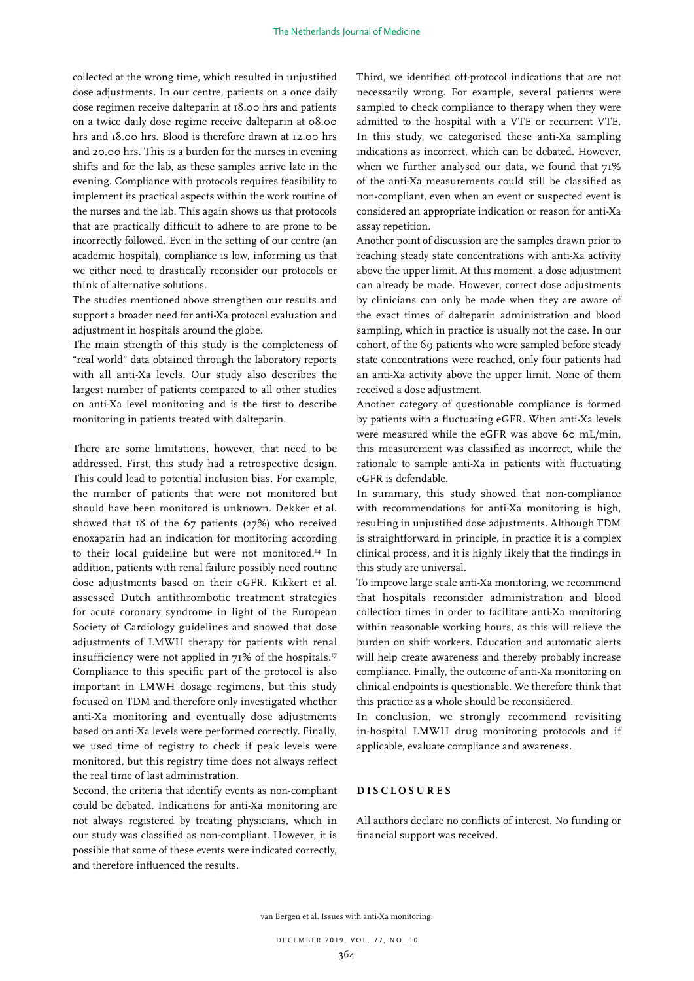collected at the wrong time, which resulted in unjustified dose adjustments. In our centre, patients on a once daily dose regimen receive dalteparin at 18.00 hrs and patients on a twice daily dose regime receive dalteparin at 08.00 hrs and 18.00 hrs. Blood is therefore drawn at 12.00 hrs and 20.00 hrs. This is a burden for the nurses in evening shifts and for the lab, as these samples arrive late in the evening. Compliance with protocols requires feasibility to implement its practical aspects within the work routine of the nurses and the lab. This again shows us that protocols that are practically difficult to adhere to are prone to be incorrectly followed. Even in the setting of our centre (an academic hospital), compliance is low, informing us that we either need to drastically reconsider our protocols or think of alternative solutions.

The studies mentioned above strengthen our results and support a broader need for anti-Xa protocol evaluation and adjustment in hospitals around the globe.

The main strength of this study is the completeness of "real world" data obtained through the laboratory reports with all anti-Xa levels. Our study also describes the largest number of patients compared to all other studies on anti-Xa level monitoring and is the first to describe monitoring in patients treated with dalteparin.

There are some limitations, however, that need to be addressed. First, this study had a retrospective design. This could lead to potential inclusion bias. For example, the number of patients that were not monitored but should have been monitored is unknown. Dekker et al. showed that 18 of the 67 patients (27%) who received enoxaparin had an indication for monitoring according to their local guideline but were not monitored.<sup>14</sup> In addition, patients with renal failure possibly need routine dose adjustments based on their eGFR. Kikkert et al. assessed Dutch antithrombotic treatment strategies for acute coronary syndrome in light of the European Society of Cardiology guidelines and showed that dose adjustments of LMWH therapy for patients with renal insufficiency were not applied in 71% of the hospitals.<sup>17</sup> Compliance to this specific part of the protocol is also important in LMWH dosage regimens, but this study focused on TDM and therefore only investigated whether anti-Xa monitoring and eventually dose adjustments based on anti-Xa levels were performed correctly. Finally, we used time of registry to check if peak levels were monitored, but this registry time does not always reflect the real time of last administration.

Second, the criteria that identify events as non-compliant could be debated. Indications for anti-Xa monitoring are not always registered by treating physicians, which in our study was classified as non-compliant. However, it is possible that some of these events were indicated correctly, and therefore influenced the results.

Third, we identified off-protocol indications that are not necessarily wrong. For example, several patients were sampled to check compliance to therapy when they were admitted to the hospital with a VTE or recurrent VTE. In this study, we categorised these anti-Xa sampling indications as incorrect, which can be debated. However, when we further analysed our data, we found that 71% of the anti-Xa measurements could still be classified as non-compliant, even when an event or suspected event is considered an appropriate indication or reason for anti-Xa assay repetition.

Another point of discussion are the samples drawn prior to reaching steady state concentrations with anti-Xa activity above the upper limit. At this moment, a dose adjustment can already be made. However, correct dose adjustments by clinicians can only be made when they are aware of the exact times of dalteparin administration and blood sampling, which in practice is usually not the case. In our cohort, of the 69 patients who were sampled before steady state concentrations were reached, only four patients had an anti-Xa activity above the upper limit. None of them received a dose adjustment.

Another category of questionable compliance is formed by patients with a fluctuating eGFR. When anti-Xa levels were measured while the eGFR was above 60 mL/min, this measurement was classified as incorrect, while the rationale to sample anti-Xa in patients with fluctuating eGFR is defendable.

In summary, this study showed that non-compliance with recommendations for anti-Xa monitoring is high, resulting in unjustified dose adjustments. Although TDM is straightforward in principle, in practice it is a complex clinical process, and it is highly likely that the findings in this study are universal.

To improve large scale anti-Xa monitoring, we recommend that hospitals reconsider administration and blood collection times in order to facilitate anti-Xa monitoring within reasonable working hours, as this will relieve the burden on shift workers. Education and automatic alerts will help create awareness and thereby probably increase compliance. Finally, the outcome of anti-Xa monitoring on clinical endpoints is questionable. We therefore think that this practice as a whole should be reconsidered.

In conclusion, we strongly recommend revisiting in-hospital LMWH drug monitoring protocols and if applicable, evaluate compliance and awareness.

## **DISCLOSURES**

All authors declare no conflicts of interest. No funding or financial support was received.

van Bergen et al. Issues with anti-Xa monitoring.